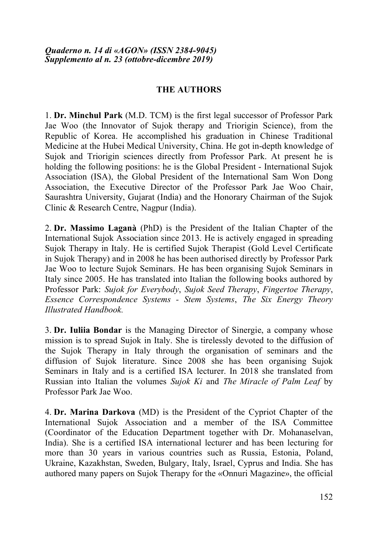## **THE AUTHORS**

1. **Dr. Minchul Park** (M.D. TCM) is the first legal successor of Professor Park Jae Woo (the Innovator of Sujok therapy and Triorigin Science), from the Republic of Korea. He accomplished his graduation in Chinese Traditional Medicine at the Hubei Medical University, China. He got in-depth knowledge of Sujok and Triorigin sciences directly from Professor Park. At present he is holding the following positions: he is the Global President - International Sujok Association (ISA), the Global President of the International Sam Won Dong Association, the Executive Director of the Professor Park Jae Woo Chair, Saurashtra University, Gujarat (India) and the Honorary Chairman of the Sujok Clinic & Research Centre, Nagpur (India).

2. **Dr. Massimo Laganà** (PhD) is the President of the Italian Chapter of the International Sujok Association since 2013. He is actively engaged in spreading Sujok Therapy in Italy. He is certified Sujok Therapist (Gold Level Certificate in Sujok Therapy) and in 2008 he has been authorised directly by Professor Park Jae Woo to lecture Sujok Seminars. He has been organising Sujok Seminars in Italy since 2005. He has translated into Italian the following books authored by Professor Park: *Sujok for Everybody*, *Sujok Seed Therapy*, *Fingertoe Therapy*, *Essence Correspondence Systems - Stem Systems*, *The Six Energy Theory Illustrated Handbook.*

3. **Dr. Iuliia Bondar** is the Managing Director of Sinergie, a company whose mission is to spread Sujok in Italy. She is tirelessly devoted to the diffusion of the Sujok Therapy in Italy through the organisation of seminars and the diffusion of Sujok literature. Since 2008 she has been organising Sujok Seminars in Italy and is a certified ISA lecturer. In 2018 she translated from Russian into Italian the volumes *Sujok Ki* and *The Miracle of Palm Leaf* by Professor Park Jae Woo.

4. **Dr. Marina Darkova** (MD) is the President of the Cypriot Chapter of the International Sujok Association and a member of the ISA Committee (Coordinator of the Education Department together with Dr. Mohanaselvan, India). She is a certified ISA international lecturer and has been lecturing for more than 30 years in various countries such as Russia, Estonia, Poland, Ukraine, Kazakhstan, Sweden, Bulgary, Italy, Israel, Cyprus and India. She has authored many papers on Sujok Therapy for the «Onnuri Magazine», the official